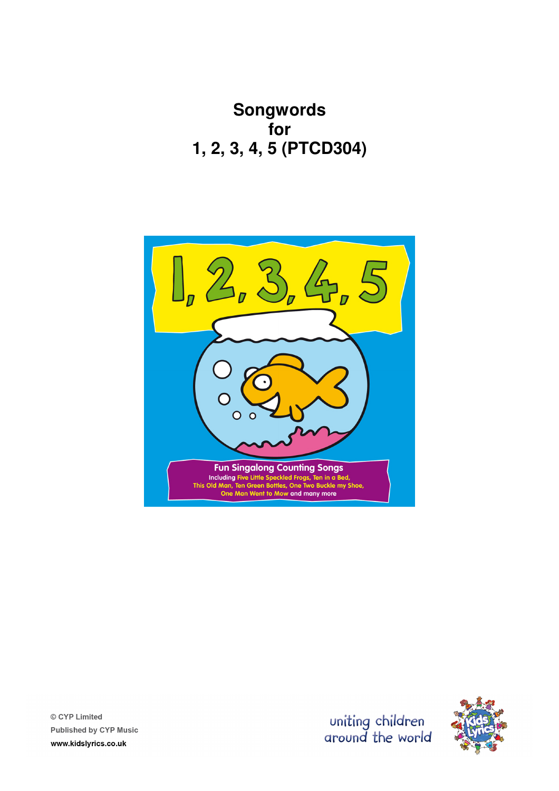# **Songwords for 1, 2, 3, 4, 5 (PTCD304)**





**Published by CYP Music** www.kidslyrics.co.uk

© CYP Limited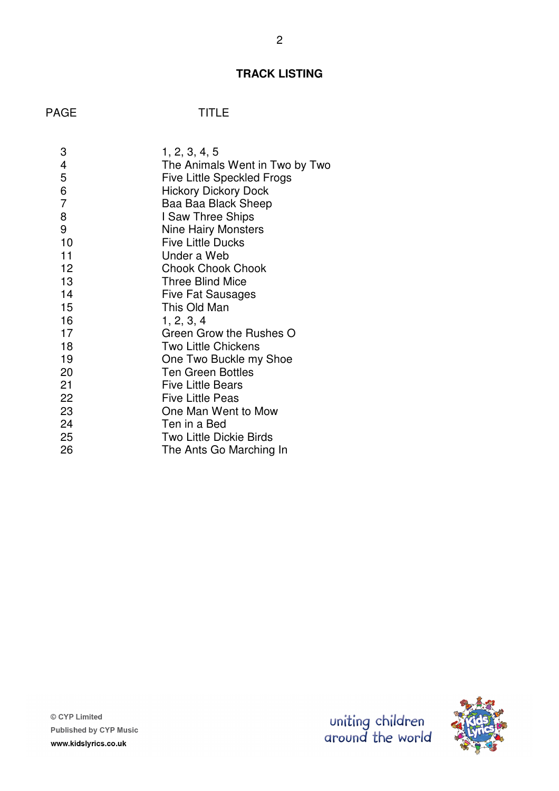# **TRACK LISTING**

| PAGE |  |
|------|--|
|      |  |

# **TITLE**

| 3<br>4<br>5<br>6<br>$\overline{7}$<br>8<br>9 | 1, 2, 3, 4, 5<br>The Animals Went in Two by Two<br>Five Little Speckled Frogs<br><b>Hickory Dickory Dock</b><br>Baa Baa Black Sheep<br>I Saw Three Ships<br><b>Nine Hairy Monsters</b> |
|----------------------------------------------|----------------------------------------------------------------------------------------------------------------------------------------------------------------------------------------|
| 10                                           | <b>Five Little Ducks</b>                                                                                                                                                               |
| 11                                           | Under a Web                                                                                                                                                                            |
| 12                                           | <b>Chook Chook Chook</b>                                                                                                                                                               |
| 13                                           | <b>Three Blind Mice</b>                                                                                                                                                                |
| 14                                           | <b>Five Fat Sausages</b>                                                                                                                                                               |
| 15                                           | This Old Man                                                                                                                                                                           |
| 16                                           | 1, 2, 3, 4                                                                                                                                                                             |
| 17                                           | Green Grow the Rushes O                                                                                                                                                                |
| 18                                           | <b>Two Little Chickens</b>                                                                                                                                                             |
| 19                                           | One Two Buckle my Shoe                                                                                                                                                                 |
| 20                                           | <b>Ten Green Bottles</b>                                                                                                                                                               |
| 21                                           | <b>Five Little Bears</b>                                                                                                                                                               |
| 22                                           | <b>Five Little Peas</b>                                                                                                                                                                |
| 23                                           | One Man Went to Mow                                                                                                                                                                    |
| 24                                           | Ten in a Bed                                                                                                                                                                           |
| 25                                           | <b>Two Little Dickie Birds</b>                                                                                                                                                         |
| 26                                           | The Ants Go Marching In                                                                                                                                                                |

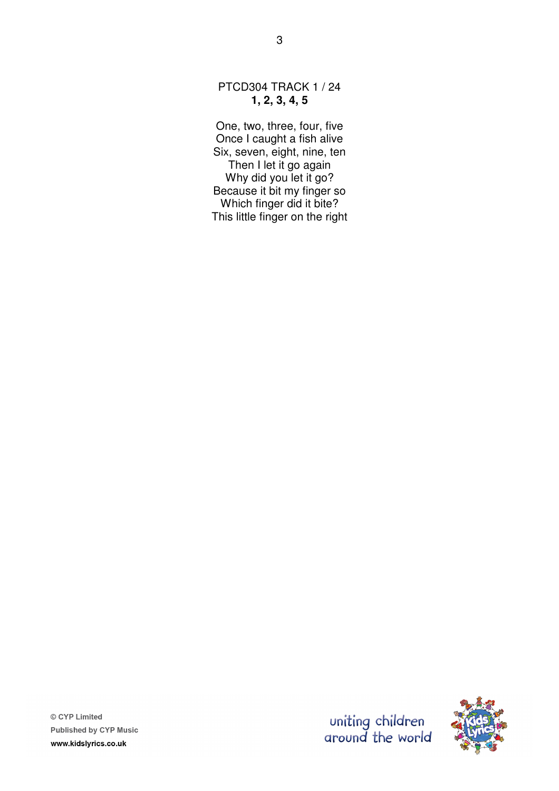# PTCD304 TRACK 1 / 24 **1, 2, 3, 4, 5**

One, two, three, four, five Once I caught a fish alive Six, seven, eight, nine, ten Then I let it go again Why did you let it go? Because it bit my finger so Which finger did it bite? This little finger on the right



© CYP Limited **Published by CYP Music** www.kidslyrics.co.uk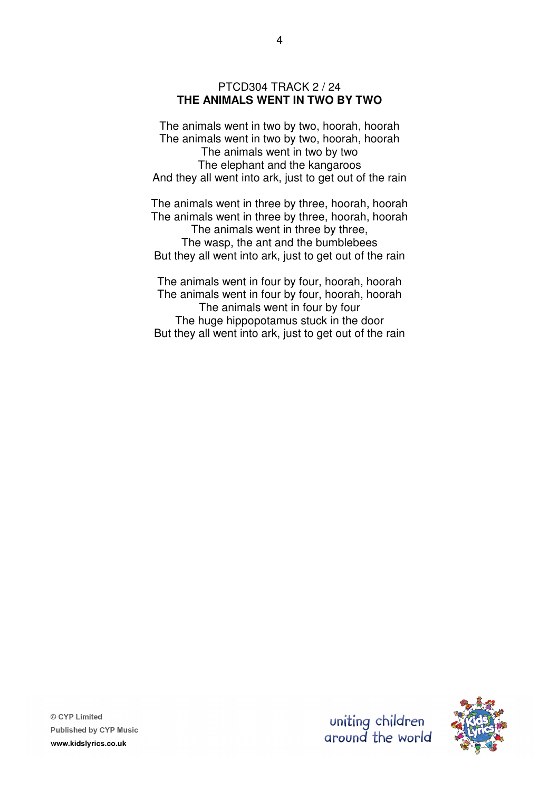## PTCD304 TRACK 2 / 24 **THE ANIMALS WENT IN TWO BY TWO**

The animals went in two by two, hoorah, hoorah The animals went in two by two, hoorah, hoorah The animals went in two by two The elephant and the kangaroos And they all went into ark, just to get out of the rain

The animals went in three by three, hoorah, hoorah The animals went in three by three, hoorah, hoorah

The animals went in three by three, The wasp, the ant and the bumblebees But they all went into ark, just to get out of the rain

The animals went in four by four, hoorah, hoorah The animals went in four by four, hoorah, hoorah The animals went in four by four The huge hippopotamus stuck in the door But they all went into ark, just to get out of the rain

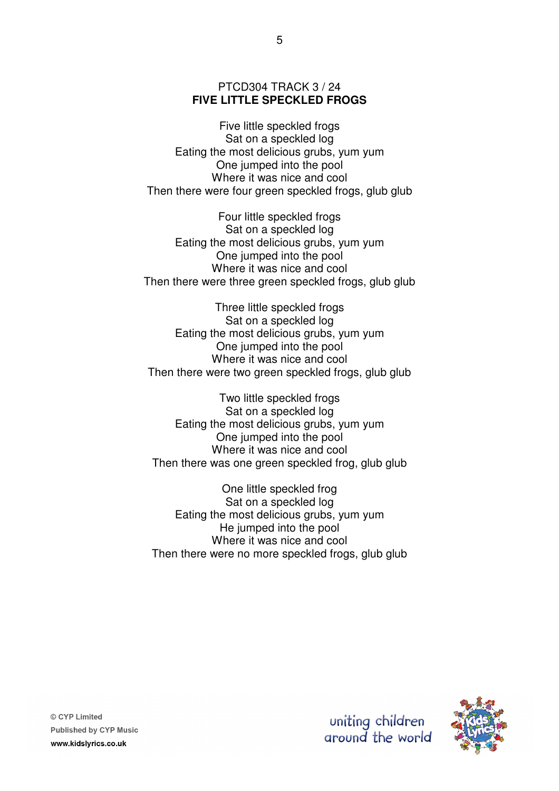# PTCD304 TRACK 3 / 24 **FIVE LITTLE SPECKLED FROGS**

Five little speckled frogs Sat on a speckled log Eating the most delicious grubs, yum yum One jumped into the pool Where it was nice and cool Then there were four green speckled frogs, glub glub

Four little speckled frogs Sat on a speckled log Eating the most delicious grubs, yum yum One jumped into the pool Where it was nice and cool Then there were three green speckled frogs, glub glub

Three little speckled frogs Sat on a speckled log Eating the most delicious grubs, yum yum One jumped into the pool Where it was nice and cool Then there were two green speckled frogs, glub glub

Two little speckled frogs Sat on a speckled log Eating the most delicious grubs, yum yum One jumped into the pool Where it was nice and cool Then there was one green speckled frog, glub glub

One little speckled frog Sat on a speckled log Eating the most delicious grubs, yum yum He jumped into the pool Where it was nice and cool Then there were no more speckled frogs, glub glub

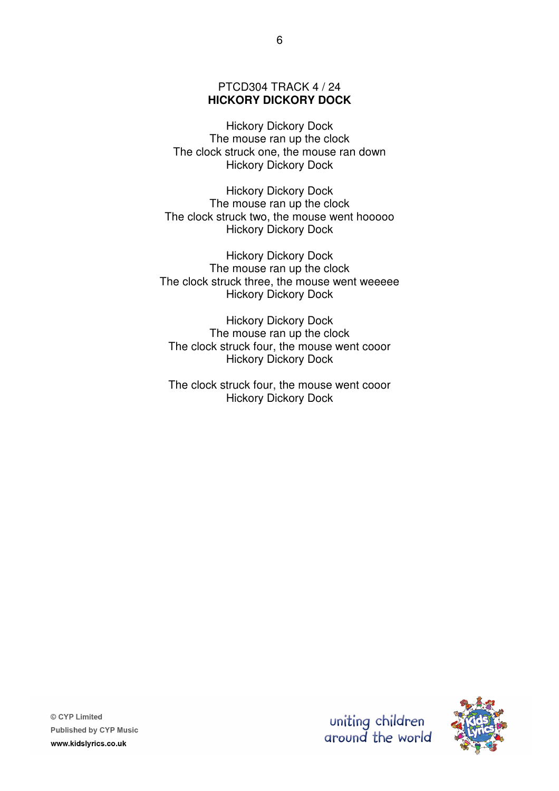# PTCD304 TRACK 4 / 24 **HICKORY DICKORY DOCK**

Hickory Dickory Dock The mouse ran up the clock The clock struck one, the mouse ran down Hickory Dickory Dock

Hickory Dickory Dock The mouse ran up the clock The clock struck two, the mouse went hooooo Hickory Dickory Dock

Hickory Dickory Dock The mouse ran up the clock The clock struck three, the mouse went weeeee Hickory Dickory Dock

Hickory Dickory Dock The mouse ran up the clock The clock struck four, the mouse went cooor Hickory Dickory Dock

The clock struck four, the mouse went cooor Hickory Dickory Dock

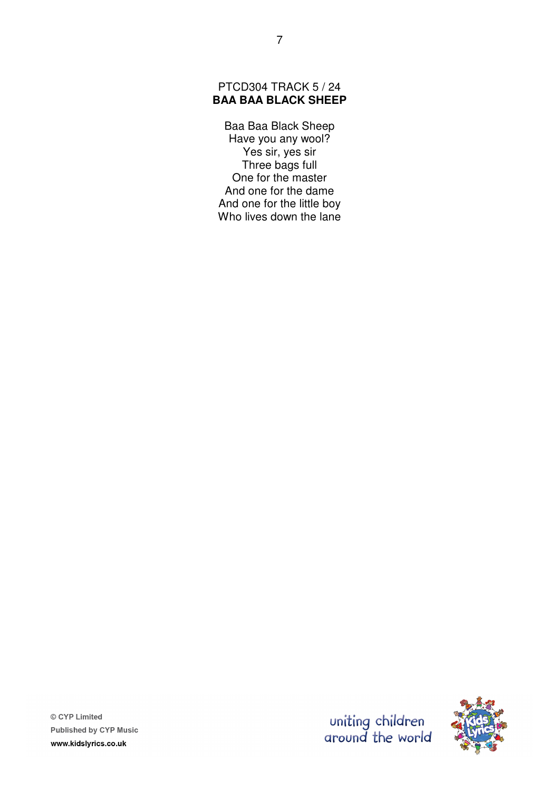# PTCD304 TRACK 5 / 24 **BAA BAA BLACK SHEEP**

Baa Baa Black Sheep Have you any wool? Yes sir, yes sir Three bags full One for the master And one for the dame And one for the little boy Who lives down the lane



© CYP Limited **Published by CYP Music** www.kidslyrics.co.uk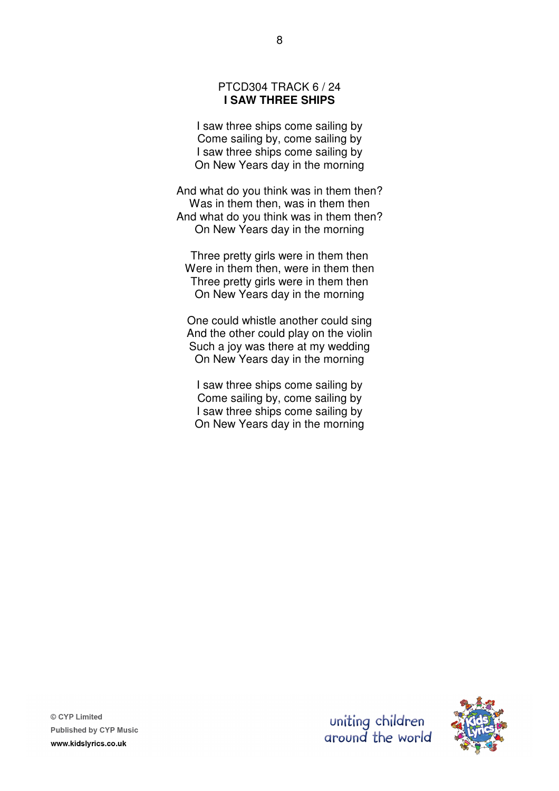#### PTCD304 TRACK 6 / 24 **I SAW THREE SHIPS**

I saw three ships come sailing by Come sailing by, come sailing by I saw three ships come sailing by On New Years day in the morning

And what do you think was in them then? Was in them then, was in them then And what do you think was in them then? On New Years day in the morning

Three pretty girls were in them then Were in them then, were in them then Three pretty girls were in them then On New Years day in the morning

One could whistle another could sing And the other could play on the violin Such a joy was there at my wedding On New Years day in the morning

I saw three ships come sailing by Come sailing by, come sailing by I saw three ships come sailing by On New Years day in the morning

© CYP Limited **Published by CYP Music** www.kidslyrics.co.uk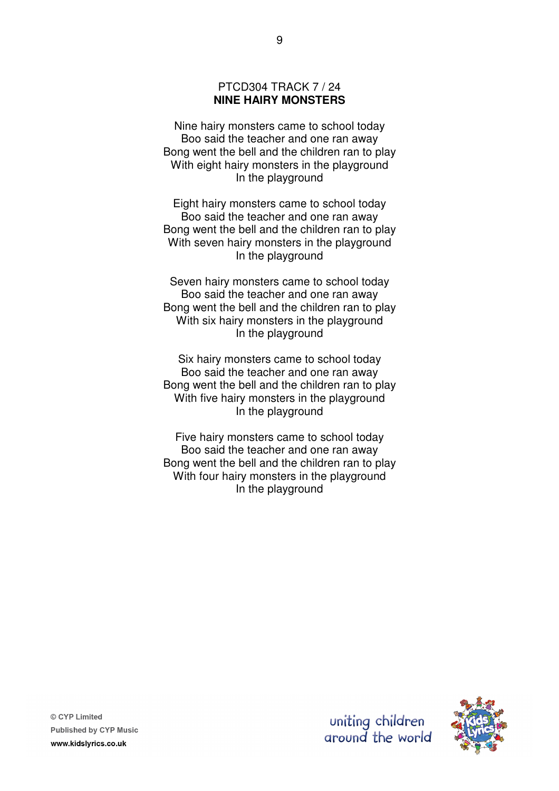#### PTCD304 TRACK 7 / 24 **NINE HAIRY MONSTERS**

Nine hairy monsters came to school today Boo said the teacher and one ran away Bong went the bell and the children ran to play With eight hairy monsters in the playground In the playground

Eight hairy monsters came to school today Boo said the teacher and one ran away Bong went the bell and the children ran to play With seven hairy monsters in the playground In the playground

Seven hairy monsters came to school today Boo said the teacher and one ran away Bong went the bell and the children ran to play With six hairy monsters in the playground In the playground

Six hairy monsters came to school today Boo said the teacher and one ran away Bong went the bell and the children ran to play With five hairy monsters in the playground In the playground

Five hairy monsters came to school today Boo said the teacher and one ran away Bong went the bell and the children ran to play With four hairy monsters in the playground In the playground

© CYP Limited **Published by CYP Music** www.kidslyrics.co.uk

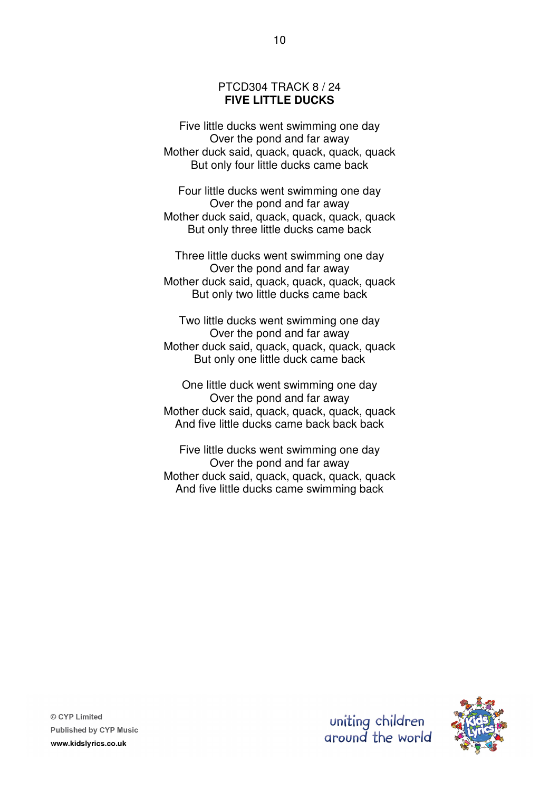#### PTCD304 TRACK 8 / 24 **FIVE LITTLE DUCKS**

Five little ducks went swimming one day Over the pond and far away Mother duck said, quack, quack, quack, quack But only four little ducks came back

Four little ducks went swimming one day Over the pond and far away Mother duck said, quack, quack, quack, quack But only three little ducks came back

Three little ducks went swimming one day Over the pond and far away Mother duck said, quack, quack, quack, quack But only two little ducks came back

Two little ducks went swimming one day Over the pond and far away Mother duck said, quack, quack, quack, quack But only one little duck came back

One little duck went swimming one day Over the pond and far away Mother duck said, quack, quack, quack, quack And five little ducks came back back back

Five little ducks went swimming one day Over the pond and far away Mother duck said, quack, quack, quack, quack And five little ducks came swimming back

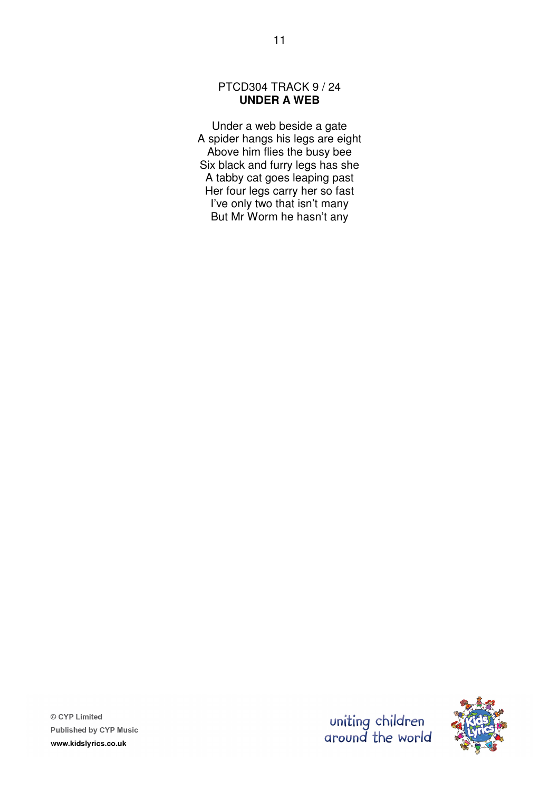# PTCD304 TRACK 9 / 24 **UNDER A WEB**

Under a web beside a gate A spider hangs his legs are eight Above him flies the busy bee Six black and furry legs has she A tabby cat goes leaping past Her four legs carry her so fast I've only two that isn't many But Mr Worm he hasn't any



uniting children<br>around the world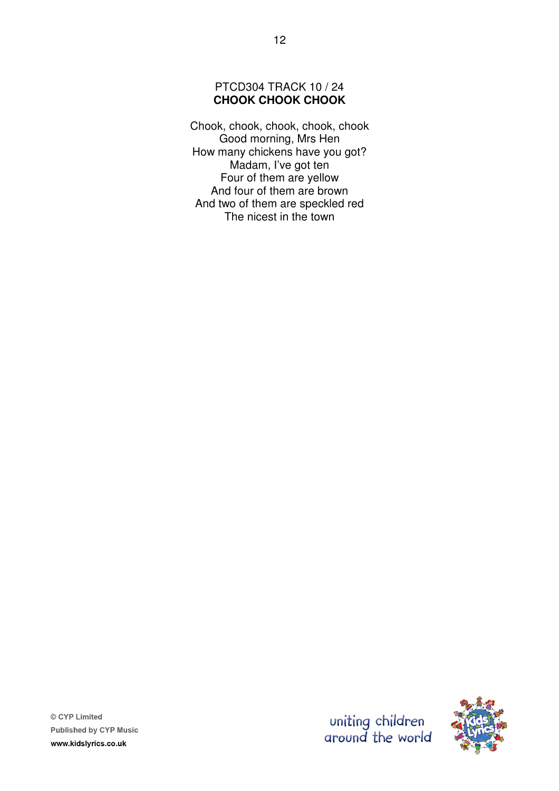# PTCD304 TRACK 10 / 24 **CHOOK CHOOK CHOOK**

Chook, chook, chook, chook, chook Good morning, Mrs Hen How many chickens have you got? Madam, I've got ten Four of them are yellow And four of them are brown And two of them are speckled red The nicest in the town



© CYP Limited **Published by CYP Music** www.kidslyrics.co.uk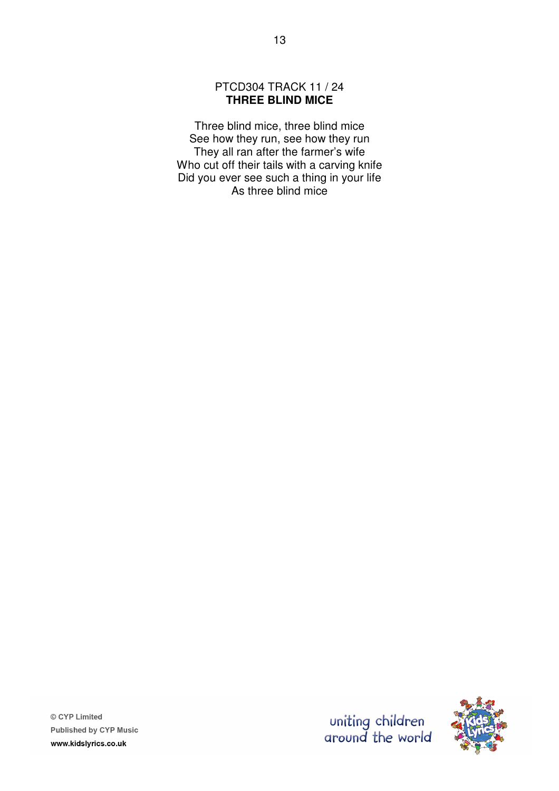# PTCD304 TRACK 11 / 24 **THREE BLIND MICE**

Three blind mice, three blind mice See how they run, see how they run They all ran after the farmer's wife Who cut off their tails with a carving knife Did you ever see such a thing in your life As three blind mice



© CYP Limited **Published by CYP Music** www.kidslyrics.co.uk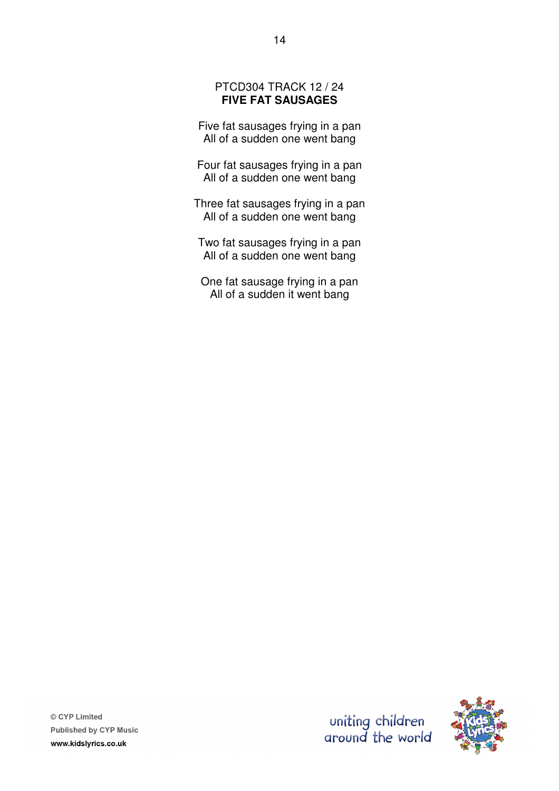# PTCD304 TRACK 12 / 24 **FIVE FAT SAUSAGES**

Five fat sausages frying in a pan All of a sudden one went bang

Four fat sausages frying in a pan All of a sudden one went bang

Three fat sausages frying in a pan All of a sudden one went bang

Two fat sausages frying in a pan All of a sudden one went bang

One fat sausage frying in a pan All of a sudden it went bang



© CYP Limited **Published by CYP Music** www.kidslyrics.co.uk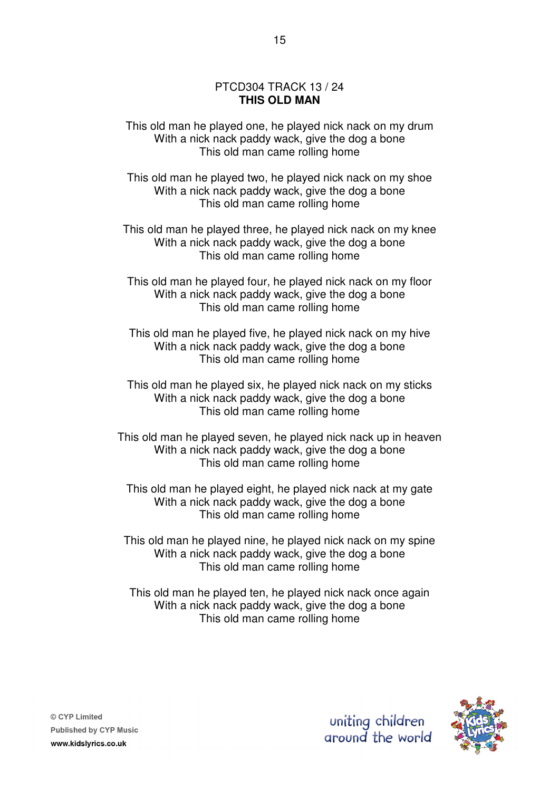#### PTCD304 TRACK 13 / 24 **THIS OLD MAN**

This old man he played one, he played nick nack on my drum With a nick nack paddy wack, give the dog a bone This old man came rolling home

This old man he played two, he played nick nack on my shoe With a nick nack paddy wack, give the dog a bone This old man came rolling home

This old man he played three, he played nick nack on my knee With a nick nack paddy wack, give the dog a bone This old man came rolling home

This old man he played four, he played nick nack on my floor With a nick nack paddy wack, give the dog a bone This old man came rolling home

This old man he played five, he played nick nack on my hive With a nick nack paddy wack, give the dog a bone This old man came rolling home

This old man he played six, he played nick nack on my sticks With a nick nack paddy wack, give the dog a bone This old man came rolling home

This old man he played seven, he played nick nack up in heaven With a nick nack paddy wack, give the dog a bone This old man came rolling home

This old man he played eight, he played nick nack at my gate With a nick nack paddy wack, give the dog a bone This old man came rolling home

This old man he played nine, he played nick nack on my spine With a nick nack paddy wack, give the dog a bone This old man came rolling home

This old man he played ten, he played nick nack once again With a nick nack paddy wack, give the dog a bone This old man came rolling home



uniting children

ground the world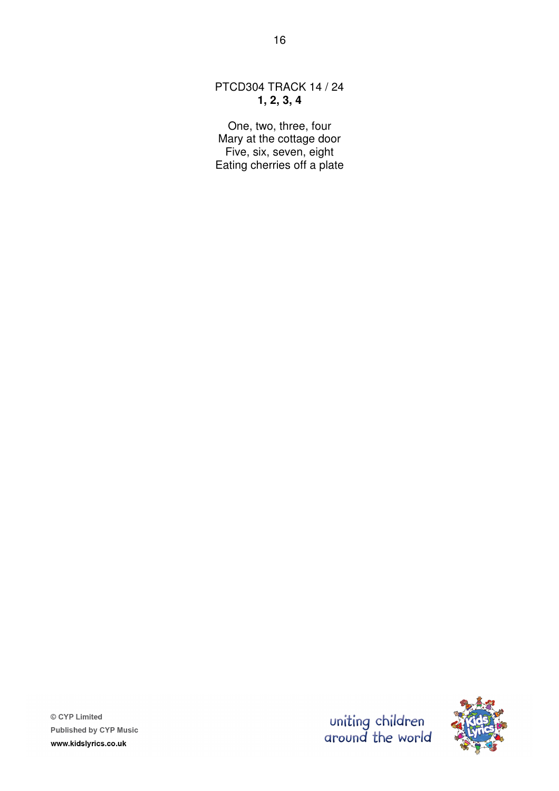# PTCD304 TRACK 14 / 24 **1, 2, 3, 4**

One, two, three, four Mary at the cottage door Five, six, seven, eight Eating cherries off a plate



© CYP Limited **Published by CYP Music** www.kidslyrics.co.uk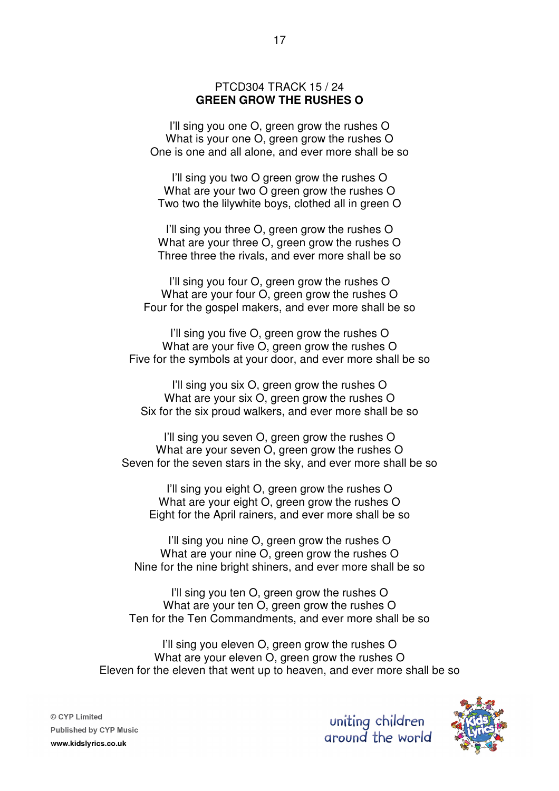#### PTCD304 TRACK 15 / 24 **GREEN GROW THE RUSHES O**

I'll sing you one O, green grow the rushes O What is your one O, green grow the rushes O One is one and all alone, and ever more shall be so

I'll sing you two O green grow the rushes O What are your two O green grow the rushes O Two two the lilywhite boys, clothed all in green O

I'll sing you three O, green grow the rushes O What are your three O, green grow the rushes O Three three the rivals, and ever more shall be so

I'll sing you four O, green grow the rushes O What are your four O, green grow the rushes O Four for the gospel makers, and ever more shall be so

I'll sing you five O, green grow the rushes O What are your five O, green grow the rushes O Five for the symbols at your door, and ever more shall be so

I'll sing you six O, green grow the rushes O What are your six O, green grow the rushes O Six for the six proud walkers, and ever more shall be so

I'll sing you seven O, green grow the rushes O What are your seven O, green grow the rushes O Seven for the seven stars in the sky, and ever more shall be so

I'll sing you eight O, green grow the rushes O What are your eight O, green grow the rushes O Eight for the April rainers, and ever more shall be so

I'll sing you nine O, green grow the rushes O What are your nine O, green grow the rushes O Nine for the nine bright shiners, and ever more shall be so

I'll sing you ten O, green grow the rushes O What are your ten O, green grow the rushes O Ten for the Ten Commandments, and ever more shall be so

I'll sing you eleven O, green grow the rushes O What are your eleven O, green grow the rushes O Eleven for the eleven that went up to heaven, and ever more shall be so

© CYP Limited **Published by CYP Music** www.kidslyrics.co.uk

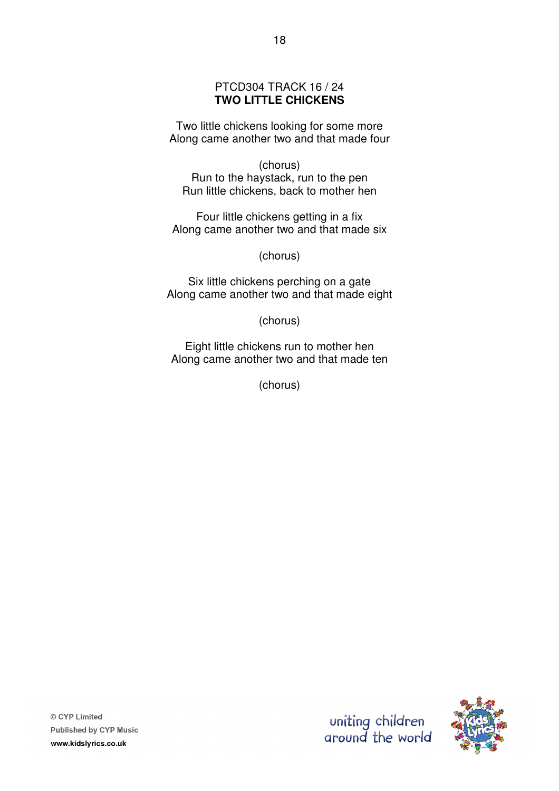# PTCD304 TRACK 16 / 24 **TWO LITTLE CHICKENS**

Two little chickens looking for some more Along came another two and that made four

(chorus) Run to the haystack, run to the pen Run little chickens, back to mother hen

Four little chickens getting in a fix Along came another two and that made six

(chorus)

Six little chickens perching on a gate Along came another two and that made eight

(chorus)

Eight little chickens run to mother hen Along came another two and that made ten

(chorus)

uniting children around the world

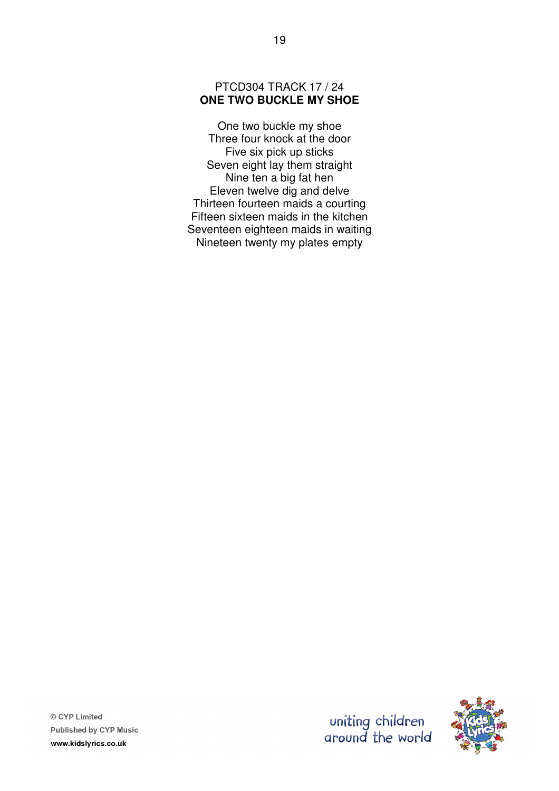# PTCD304 TRACK 17 / 24 **ONE TWO BUCKLE MY SHOE**

One two buckle my shoe Three four knock at the door Five six pick up sticks Seven eight lay them straight Nine ten a big fat hen Eleven twelve dig and delve Thirteen fourteen maids a courting Fifteen sixteen maids in the kitchen Seventeen eighteen maids in waiting Nineteen twenty my plates empty



© CYP Limited **Published by CYP Music** www.kidslyrics.co.uk

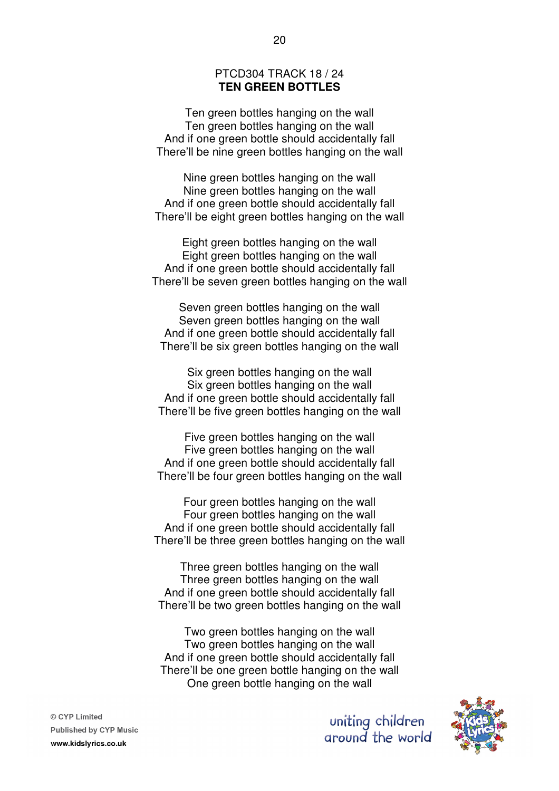#### PTCD304 TRACK 18 / 24 **TEN GREEN BOTTLES**

Ten green bottles hanging on the wall Ten green bottles hanging on the wall And if one green bottle should accidentally fall There'll be nine green bottles hanging on the wall

Nine green bottles hanging on the wall Nine green bottles hanging on the wall And if one green bottle should accidentally fall There'll be eight green bottles hanging on the wall

Eight green bottles hanging on the wall Eight green bottles hanging on the wall And if one green bottle should accidentally fall There'll be seven green bottles hanging on the wall

Seven green bottles hanging on the wall Seven green bottles hanging on the wall And if one green bottle should accidentally fall There'll be six green bottles hanging on the wall

Six green bottles hanging on the wall Six green bottles hanging on the wall And if one green bottle should accidentally fall There'll be five green bottles hanging on the wall

Five green bottles hanging on the wall Five green bottles hanging on the wall And if one green bottle should accidentally fall There'll be four green bottles hanging on the wall

Four green bottles hanging on the wall Four green bottles hanging on the wall And if one green bottle should accidentally fall There'll be three green bottles hanging on the wall

Three green bottles hanging on the wall Three green bottles hanging on the wall And if one green bottle should accidentally fall There'll be two green bottles hanging on the wall

Two green bottles hanging on the wall Two green bottles hanging on the wall And if one green bottle should accidentally fall There'll be one green bottle hanging on the wall One green bottle hanging on the wall

© CYP Limited **Published by CYP Music** www.kidslyrics.co.uk

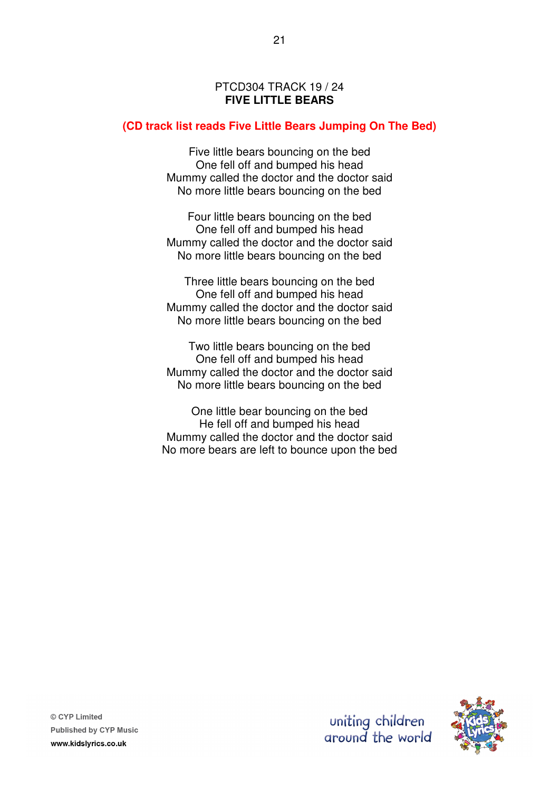#### PTCD304 TRACK 19 / 24 **FIVE LITTLE BEARS**

# **(CD track list reads Five Little Bears Jumping On The Bed)**

Five little bears bouncing on the bed One fell off and bumped his head Mummy called the doctor and the doctor said No more little bears bouncing on the bed

Four little bears bouncing on the bed One fell off and bumped his head Mummy called the doctor and the doctor said No more little bears bouncing on the bed

Three little bears bouncing on the bed One fell off and bumped his head Mummy called the doctor and the doctor said No more little bears bouncing on the bed

Two little bears bouncing on the bed One fell off and bumped his head Mummy called the doctor and the doctor said No more little bears bouncing on the bed

One little bear bouncing on the bed He fell off and bumped his head Mummy called the doctor and the doctor said No more bears are left to bounce upon the bed

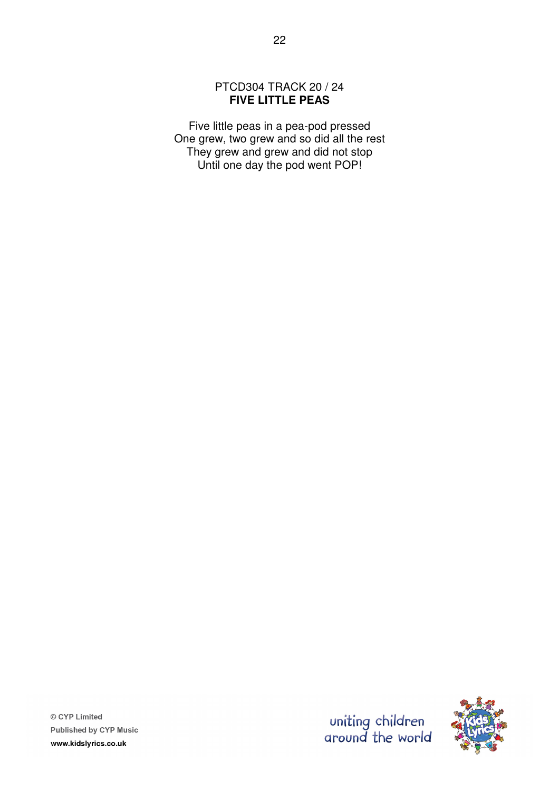# PTCD304 TRACK 20 / 24 **FIVE LITTLE PEAS**

Five little peas in a pea-pod pressed One grew, two grew and so did all the rest They grew and grew and did not stop Until one day the pod went POP!

© CYP Limited **Published by CYP Music** www.kidslyrics.co.uk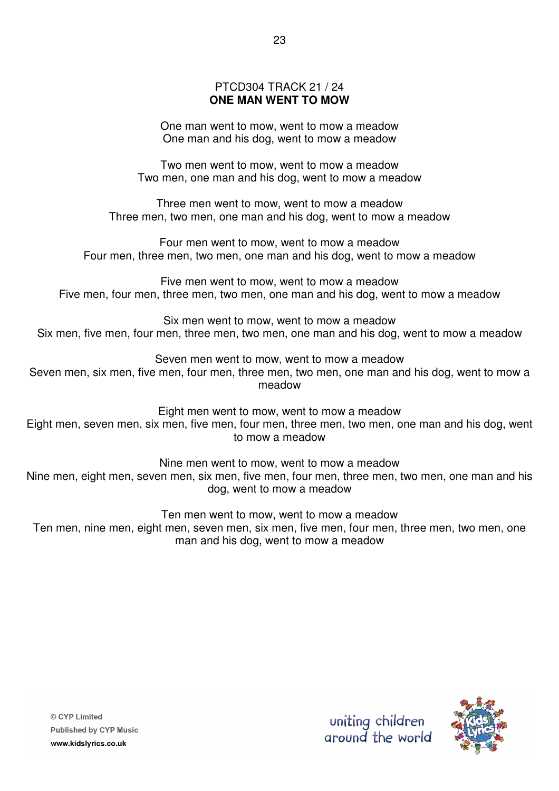# PTCD304 TRACK 21 / 24 **ONE MAN WENT TO MOW**

One man went to mow, went to mow a meadow One man and his dog, went to mow a meadow

Two men went to mow, went to mow a meadow Two men, one man and his dog, went to mow a meadow

Three men went to mow, went to mow a meadow Three men, two men, one man and his dog, went to mow a meadow

Four men went to mow, went to mow a meadow Four men, three men, two men, one man and his dog, went to mow a meadow

Five men went to mow, went to mow a meadow Five men, four men, three men, two men, one man and his dog, went to mow a meadow

Six men went to mow, went to mow a meadow Six men, five men, four men, three men, two men, one man and his dog, went to mow a meadow

Seven men went to mow, went to mow a meadow

Seven men, six men, five men, four men, three men, two men, one man and his dog, went to mow a meadow

Eight men went to mow, went to mow a meadow Eight men, seven men, six men, five men, four men, three men, two men, one man and his dog, went to mow a meadow

Nine men went to mow, went to mow a meadow Nine men, eight men, seven men, six men, five men, four men, three men, two men, one man and his dog, went to mow a meadow

Ten men went to mow, went to mow a meadow Ten men, nine men, eight men, seven men, six men, five men, four men, three men, two men, one man and his dog, went to mow a meadow



uniting children

ground the world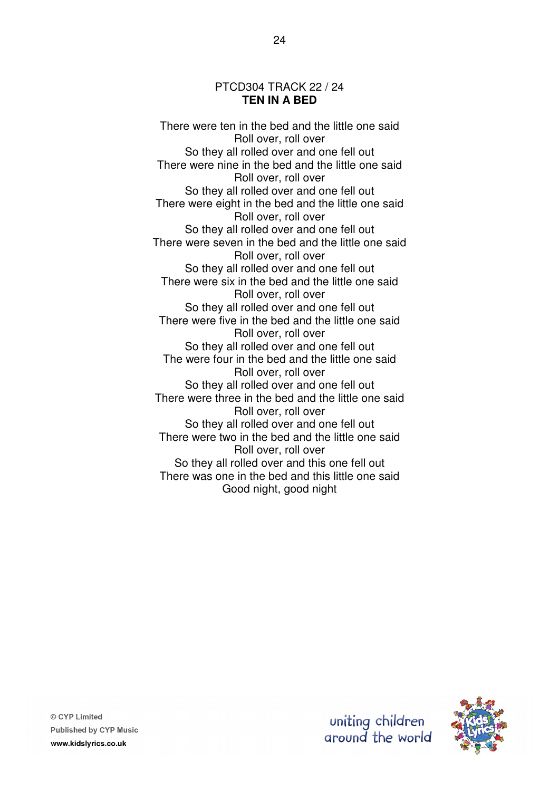#### PTCD304 TRACK 22 / 24 **TEN IN A BED**

There were ten in the bed and the little one said Roll over, roll over So they all rolled over and one fell out There were nine in the bed and the little one said Roll over, roll over So they all rolled over and one fell out There were eight in the bed and the little one said Roll over, roll over So they all rolled over and one fell out There were seven in the bed and the little one said Roll over, roll over So they all rolled over and one fell out There were six in the bed and the little one said Roll over, roll over So they all rolled over and one fell out There were five in the bed and the little one said Roll over, roll over So they all rolled over and one fell out The were four in the bed and the little one said Roll over, roll over So they all rolled over and one fell out There were three in the bed and the little one said Roll over, roll over So they all rolled over and one fell out There were two in the bed and the little one said Roll over, roll over So they all rolled over and this one fell out There was one in the bed and this little one said Good night, good night

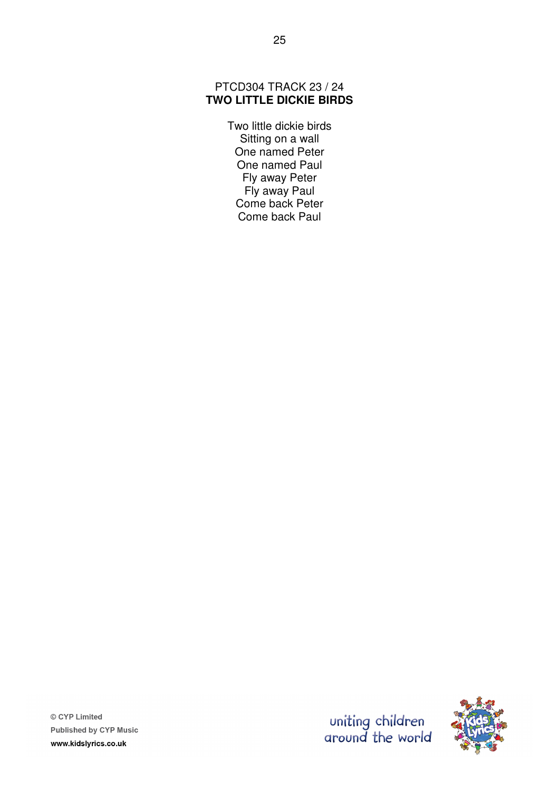# PTCD304 TRACK 23 / 24 **TWO LITTLE DICKIE BIRDS**

Two little dickie birds Sitting on a wall One named Peter One named Paul Fly away Peter Fly away Paul Come back Peter Come back Paul



© CYP Limited **Published by CYP Music** www.kidslyrics.co.uk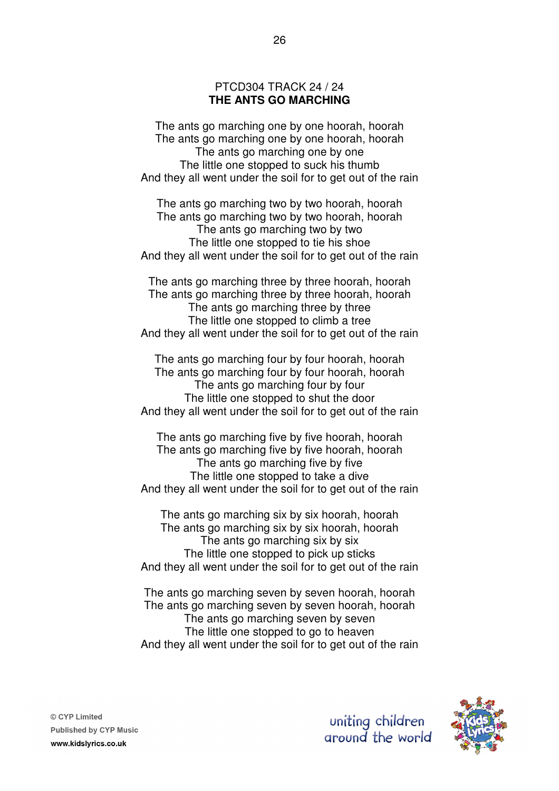#### PTCD304 TRACK 24 / 24 **THE ANTS GO MARCHING**

The ants go marching one by one hoorah, hoorah The ants go marching one by one hoorah, hoorah The ants go marching one by one The little one stopped to suck his thumb And they all went under the soil for to get out of the rain

The ants go marching two by two hoorah, hoorah The ants go marching two by two hoorah, hoorah The ants go marching two by two The little one stopped to tie his shoe And they all went under the soil for to get out of the rain

The ants go marching three by three hoorah, hoorah The ants go marching three by three hoorah, hoorah The ants go marching three by three The little one stopped to climb a tree And they all went under the soil for to get out of the rain

The ants go marching four by four hoorah, hoorah The ants go marching four by four hoorah, hoorah The ants go marching four by four The little one stopped to shut the door And they all went under the soil for to get out of the rain

The ants go marching five by five hoorah, hoorah The ants go marching five by five hoorah, hoorah The ants go marching five by five The little one stopped to take a dive And they all went under the soil for to get out of the rain

The ants go marching six by six hoorah, hoorah The ants go marching six by six hoorah, hoorah The ants go marching six by six The little one stopped to pick up sticks And they all went under the soil for to get out of the rain

The ants go marching seven by seven hoorah, hoorah The ants go marching seven by seven hoorah, hoorah The ants go marching seven by seven The little one stopped to go to heaven And they all went under the soil for to get out of the rain

© CYP Limited **Published by CYP Music** www.kidslyrics.co.uk